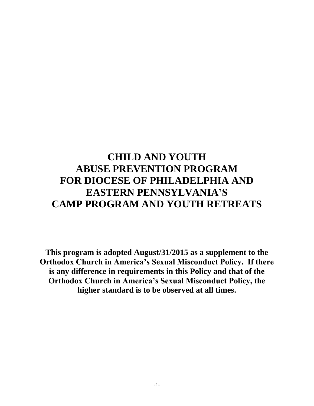# **CHILD AND YOUTH ABUSE PREVENTION PROGRAM FOR DIOCESE OF PHILADELPHIA AND EASTERN PENNSYLVANIA'S CAMP PROGRAM AND YOUTH RETREATS**

**This program is adopted August/31/2015 as a supplement to the Orthodox Church in America's Sexual Misconduct Policy. If there is any difference in requirements in this Policy and that of the Orthodox Church in America's Sexual Misconduct Policy, the higher standard is to be observed at all times.**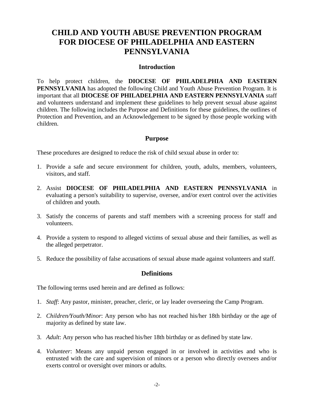## **CHILD AND YOUTH ABUSE PREVENTION PROGRAM FOR DIOCESE OF PHILADELPHIA AND EASTERN PENNSYLVANIA**

#### **Introduction**

To help protect children, the **DIOCESE OF PHILADELPHIA AND EASTERN PENNSYLVANIA** has adopted the following Child and Youth Abuse Prevention Program. It is important that all **DIOCESE OF PHILADELPHIA AND EASTERN PENNSYLVANIA** staff and volunteers understand and implement these guidelines to help prevent sexual abuse against children. The following includes the Purpose and Definitions for these guidelines, the outlines of Protection and Prevention, and an Acknowledgement to be signed by those people working with children.

#### **Purpose**

These procedures are designed to reduce the risk of child sexual abuse in order to:

- 1. Provide a safe and secure environment for children, youth, adults, members, volunteers, visitors, and staff.
- 2. Assist **DIOCESE OF PHILADELPHIA AND EASTERN PENNSYLVANIA** in evaluating a person's suitability to supervise, oversee, and/or exert control over the activities of children and youth.
- 3. Satisfy the concerns of parents and staff members with a screening process for staff and volunteers.
- 4. Provide a system to respond to alleged victims of sexual abuse and their families, as well as the alleged perpetrator.
- 5. Reduce the possibility of false accusations of sexual abuse made against volunteers and staff.

#### **Definitions**

The following terms used herein and are defined as follows:

- 1. *Staff*: Any pastor, minister, preacher, cleric, or lay leader overseeing the Camp Program.
- 2. *Children/Youth/Minor*: Any person who has not reached his/her 18th birthday or the age of majority as defined by state law.
- 3. *Adult*: Any person who has reached his/her 18th birthday or as defined by state law.
- 4. *Volunteer*: Means any unpaid person engaged in or involved in activities and who is entrusted with the care and supervision of minors or a person who directly oversees and/or exerts control or oversight over minors or adults.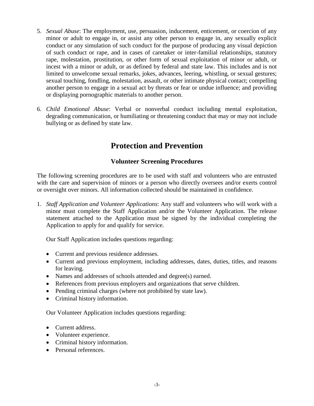- 5. *Sexual Abuse*: The employment, use, persuasion, inducement, enticement, or coercion of any minor or adult to engage in, or assist any other person to engage in, any sexually explicit conduct or any simulation of such conduct for the purpose of producing any visual depiction of such conduct or rape, and in cases of caretaker or inter-familial relationships, statutory rape, molestation, prostitution, or other form of sexual exploitation of minor or adult, or incest with a minor or adult, or as defined by federal and state law. This includes and is not limited to unwelcome sexual remarks, jokes, advances, leering, whistling, or sexual gestures; sexual touching, fondling, molestation, assault, or other intimate physical contact; compelling another person to engage in a sexual act by threats or fear or undue influence; and providing or displaying pornographic materials to another person.
- 6. *Child Emotional Abuse*: Verbal or nonverbal conduct including mental exploitation, degrading communication, or humiliating or threatening conduct that may or may not include bullying or as defined by state law.

# **Protection and Prevention**

### **Volunteer Screening Procedures**

The following screening procedures are to be used with staff and volunteers who are entrusted with the care and supervision of minors or a person who directly oversees and/or exerts control or oversight over minors. All information collected should be maintained in confidence.

1. *Staff Application and Volunteer Applications*: Any staff and volunteers who will work with a minor must complete the Staff Application and/or the Volunteer Application. The release statement attached to the Application must be signed by the individual completing the Application to apply for and qualify for service.

Our Staff Application includes questions regarding:

- Current and previous residence addresses.
- Current and previous employment, including addresses, dates, duties, titles, and reasons for leaving.
- Names and addresses of schools attended and degree(s) earned.
- References from previous employers and organizations that serve children.
- Pending criminal charges (where not prohibited by state law).
- Criminal history information.

Our Volunteer Application includes questions regarding:

- Current address.
- Volunteer experience.
- Criminal history information.
- Personal references.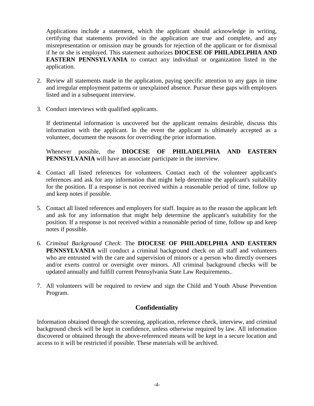Applications include a statement, which the applicant should acknowledge in writing, certifying that statements provided in the application are true and complete, and any misrepresentation or omission may be grounds for rejection of the applicant or for dismissal if he or she is employed. This statement authorizes **DIOCESE OF PHILADELPHIA AND EASTERN PENNSYLVANIA** to contact any individual or organization listed in the application.

- 2. Review all statements made in the application, paying specific attention to any gaps in time and irregular employment patterns or unexplained absence. Pursue these gaps with employers listed and in a subsequent interview.
- 3. Conduct interviews with qualified applicants.

If detrimental information is uncovered but the applicant remains desirable, discuss this information with the applicant. In the event the applicant is ultimately accepted as a volunteer, document the reasons for overriding the prior information.

Whenever possible, the **DIOCESE OF PHILADELPHIA AND EASTERN PENNSYLVANIA** will have an associate participate in the interview.

- 4. Contact all listed references for volunteers. Contact each of the volunteer applicant's references and ask for any information that might help determine the applicant's suitability for the position. If a response is not received within a reasonable period of time, follow up and keep notes if possible.
- 5. Contact all listed references and employers for staff. Inquire as to the reason the applicant left and ask for any information that might help determine the applicant's suitability for the position. If a response is not received within a reasonable period of time, follow up and keep notes if possible.
- 6. *Criminal Background Check*: The **DIOCESE OF PHILADELPHIA AND EASTERN PENNSYLVANIA** will conduct a criminal background check on all staff and volunteers who are entrusted with the care and supervision of minors or a person who directly oversees and/or exerts control or oversight over minors. All criminal background checks will be updated annually and fulfill current Pennsylvania State Law Requirements..
- 7. All volunteers will be required to review and sign the Child and Youth Abuse Prevention Program.

### **Confidentiality**

Information obtained through the screening, application, reference check, interview, and criminal background check will be kept in confidence, unless otherwise required by law. All information discovered or obtained through the above-referenced means will be kept in a secure location and access to it will be restricted if possible. These materials will be archived.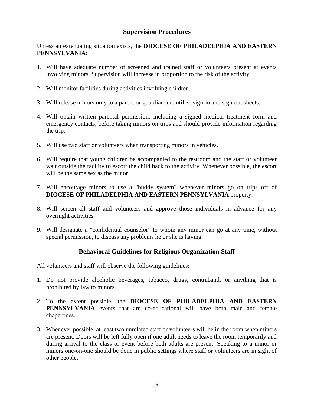#### **Supervision Procedures**

Unless an extenuating situation exists, the **DIOCESE OF PHILADELPHIA AND EASTERN PENNSYLVANIA**:

- 1. Will have adequate number of screened and trained staff or volunteers present at events involving minors. Supervision will increase in proportion to the risk of the activity.
- 2. Will monitor facilities during activities involving children.
- 3. Will release minors only to a parent or guardian and utilize sign-in and sign-out sheets.
- 4. Will obtain written parental permission, including a signed medical treatment form and emergency contacts, before taking minors on trips and should provide information regarding the trip.
- 5. Will use two staff or volunteers when transporting minors in vehicles.
- 6. Will require that young children be accompanied to the restroom and the staff or volunteer wait outside the facility to escort the child back to the activity. Whenever possible, the escort will be the same sex as the minor.
- 7. Will encourage minors to use a "buddy system" whenever minors go on trips off of **DIOCESE OF PHILADELPHIA AND EASTERN PENNSYLVANIA** property.
- 8. Will screen all staff and volunteers and approve those individuals in advance for any overnight activities.
- 9. Will designate a "confidential counselor" to whom any minor can go at any time, without special permission, to discuss any problems he or she is having.

### **Behavioral Guidelines for Religious Organization Staff**

All volunteers and staff will observe the following guidelines:

- 1. Do not provide alcoholic beverages, tobacco, drugs, contraband, or anything that is prohibited by law to minors.
- 2. To the extent possible, the **DIOCESE OF PHILADELPHIA AND EASTERN PENNSYLVANIA** events that are co-educational will have both male and female chaperones.
- 3. Whenever possible, at least two unrelated staff or volunteers will be in the room when minors are present. Doors will be left fully open if one adult needs to leave the room temporarily and during arrival to the class or event before both adults are present. Speaking to a minor or minors one-on-one should be done in public settings where staff or volunteers are in sight of other people.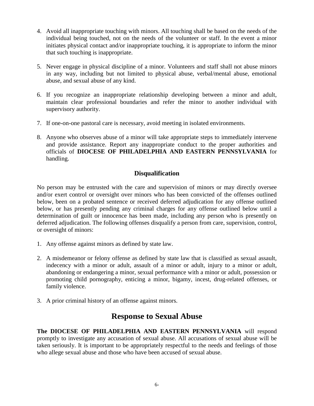- 4. Avoid all inappropriate touching with minors. All touching shall be based on the needs of the individual being touched, not on the needs of the volunteer or staff. In the event a minor initiates physical contact and/or inappropriate touching, it is appropriate to inform the minor that such touching is inappropriate.
- 5. Never engage in physical discipline of a minor. Volunteers and staff shall not abuse minors in any way, including but not limited to physical abuse, verbal/mental abuse, emotional abuse, and sexual abuse of any kind.
- 6. If you recognize an inappropriate relationship developing between a minor and adult, maintain clear professional boundaries and refer the minor to another individual with supervisory authority.
- 7. If one-on-one pastoral care is necessary, avoid meeting in isolated environments.
- 8. Anyone who observes abuse of a minor will take appropriate steps to immediately intervene and provide assistance. Report any inappropriate conduct to the proper authorities and officials of **DIOCESE OF PHILADELPHIA AND EASTERN PENNSYLVANIA** for handling.

#### **Disqualification**

No person may be entrusted with the care and supervision of minors or may directly oversee and/or exert control or oversight over minors who has been convicted of the offenses outlined below, been on a probated sentence or received deferred adjudication for any offense outlined below, or has presently pending any criminal charges for any offense outlined below until a determination of guilt or innocence has been made, including any person who is presently on deferred adjudication. The following offenses disqualify a person from care, supervision, control, or oversight of minors:

- 1. Any offense against minors as defined by state law.
- 2. A misdemeanor or felony offense as defined by state law that is classified as sexual assault, indecency with a minor or adult, assault of a minor or adult, injury to a minor or adult, abandoning or endangering a minor, sexual performance with a minor or adult, possession or promoting child pornography, enticing a minor, bigamy, incest, drug-related offenses, or family violence.
- 3. A prior criminal history of an offense against minors.

### **Response to Sexual Abuse**

**The DIOCESE OF PHILADELPHIA AND EASTERN PENNSYLVANIA** will respond promptly to investigate any accusation of sexual abuse. All accusations of sexual abuse will be taken seriously. It is important to be appropriately respectful to the needs and feelings of those who allege sexual abuse and those who have been accused of sexual abuse.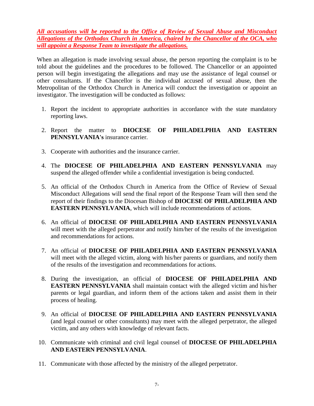*All accusations will be reported to the Office of Review of Sexual Abuse and Misconduct Allegations of the Orthodox Church in America, chaired by the Chancellor of the OCA, who will appoint a Response Team to investigate the allegations.*

When an allegation is made involving sexual abuse, the person reporting the complaint is to be told about the guidelines and the procedures to be followed. The Chancellor or an appointed person will begin investigating the allegations and may use the assistance of legal counsel or other consultants. If the Chancellor is the individual accused of sexual abuse, then the Metropolitan of the Orthodox Church in America will conduct the investigation or appoint an investigator. The investigation will be conducted as follows:

- 1. Report the incident to appropriate authorities in accordance with the state mandatory reporting laws.
- 2. Report the matter to **DIOCESE OF PHILADELPHIA AND EASTERN PENNSYLVANIA's** insurance carrier.
- 3. Cooperate with authorities and the insurance carrier.
- 4. The **DIOCESE OF PHILADELPHIA AND EASTERN PENNSYLVANIA** may suspend the alleged offender while a confidential investigation is being conducted.
- 5. An official of the Orthodox Church in America from the Office of Review of Sexual Misconduct Allegations will send the final report of the Response Team will then send the report of their findings to the Diocesan Bishop of **DIOCESE OF PHILADELPHIA AND EASTERN PENNSYLVANIA**, which will include recommendations of actions.
- 6. An official of **DIOCESE OF PHILADELPHIA AND EASTERN PENNSYLVANIA** will meet with the alleged perpetrator and notify him/her of the results of the investigation and recommendations for actions.
- 7. An official of **DIOCESE OF PHILADELPHIA AND EASTERN PENNSYLVANIA** will meet with the alleged victim, along with his/her parents or guardians, and notify them of the results of the investigation and recommendations for actions.
- 8. During the investigation, an official of **DIOCESE OF PHILADELPHIA AND EASTERN PENNSYLVANIA** shall maintain contact with the alleged victim and his/her parents or legal guardian, and inform them of the actions taken and assist them in their process of healing.
- 9. An official of **DIOCESE OF PHILADELPHIA AND EASTERN PENNSYLVANIA** (and legal counsel or other consultants) may meet with the alleged perpetrator, the alleged victim, and any others with knowledge of relevant facts.
- 10. Communicate with criminal and civil legal counsel of **DIOCESE OF PHILADELPHIA AND EASTERN PENNSYLVANIA**.
- 11. Communicate with those affected by the ministry of the alleged perpetrator.